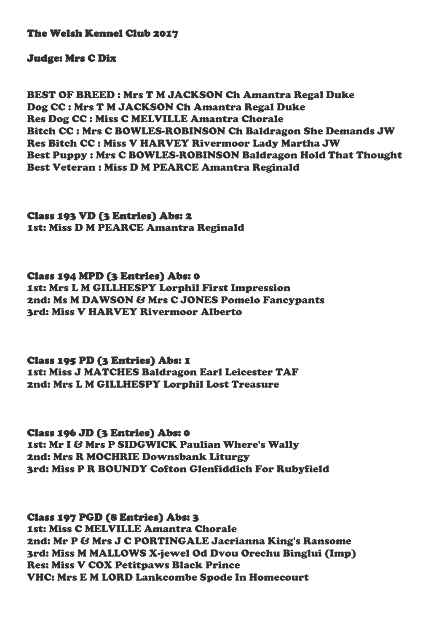The Welsh Kennel Club 2017

## Judge: Mrs C Dix

BEST OF BREED : Mrs T M JACKSON Ch Amantra Regal Duke Dog CC : Mrs T M JACKSON Ch Amantra Regal Duke Res Dog CC : Miss C MELVILLE Amantra Chorale Bitch CC : Mrs C BOWLES-ROBINSON Ch Baldragon She Demands JW Res Bitch CC : Miss V HARVEY Rivermoor Lady Martha JW Best Puppy : Mrs C BOWLES-ROBINSON Baldragon Hold That Thought Best Veteran : Miss D M PEARCE Amantra Reginald

Class 193 VD (3 Entries) Abs: 2 1st: Miss D M PEARCE Amantra Reginald

Class 194 MPD (3 Entries) Abs: 0 1st: Mrs L M GILLHESPY Lorphil First Impression 2nd: Ms M DAWSON & Mrs C JONES Pomelo Fancypants 3rd: Miss V HARVEY Rivermoor Alberto

Class 195 PD (3 Entries) Abs: 1 1st: Miss J MATCHES Baldragon Earl Leicester TAF 2nd: Mrs L M GILLHESPY Lorphil Lost Treasure

Class 196 JD (3 Entries) Abs: 0 1st: Mr I & Mrs P SIDGWICK Paulian Where's Wally 2nd: Mrs R MOCHRIE Downsbank Liturgy 3rd: Miss P R BOUNDY Cofton Glenfiddich For Rubyfield

Class 197 PGD (8 Entries) Abs: 3 1st: Miss C MELVILLE Amantra Chorale 2nd: Mr P & Mrs J C PORTINGALE Jacrianna King's Ransome 3rd: Miss M MALLOWS X-jewel Od Dvou Orechu Binglui (Imp) Res: Miss V COX Petitpaws Black Prince VHC: Mrs E M LORD Lankcombe Spode In Homecourt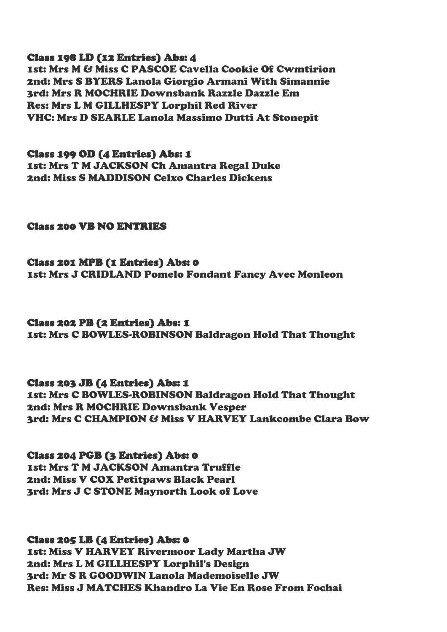## Class 198 LD (12 Entries) Abs: 4

1st: Mrs M & Miss C PASCOE Cavella Cookie Of Cwmtirion 2nd: Mrs S BYERS Lanola Giorgio Armani With Simannie 3rd: Mrs R MOCHRIE Downsbank Razzle Dazzle Em Res: Mrs L M GILLHESPY Lorphil Red River VHC: Mrs D SEARLE Lanola Massimo Dutti At Stonepit

Class 199 OD (4 Entries) Abs: 1 1st: Mrs T M JACKSON Ch Amantra Regal Duke 2nd: Miss S MADDISON Celxo Charles Dickens

## Class 200 VB NO ENTRIES

Class 201 MPB (1 Entries) Abs: 0 1st: Mrs J CRIDLAND Pomelo Fondant Fancy Avec Monleon

Class 202 PB (2 Entries) Abs: 1 1st: Mrs C BOWLES-ROBINSON Baldragon Hold That Thought

Class 203 JB (4 Entries) Abs: 1 1st: Mrs C BOWLES-ROBINSON Baldragon Hold That Thought 2nd: Mrs R MOCHRIE Downsbank Vesper 3rd: Mrs C CHAMPION & Miss V HARVEY Lankcombe Clara Bow

Class 204 PGB (3 Entries) Abs: 0 1st: Mrs T M JACKSON Amantra Truffle 2nd: Miss V COX Petitpaws Black Pearl 3rd: Mrs J C STONE Maynorth Look of Love

Class 205 LB (4 Entries) Abs: 0

1st: Miss V HARVEY Rivermoor Lady Martha JW 2nd: Mrs L M GILLHESPY Lorphil's Design 3rd: Mr S R GOODWIN Lanola Mademoiselle JW Res: Miss J MATCHES Khandro La Vie En Rose From Fochai